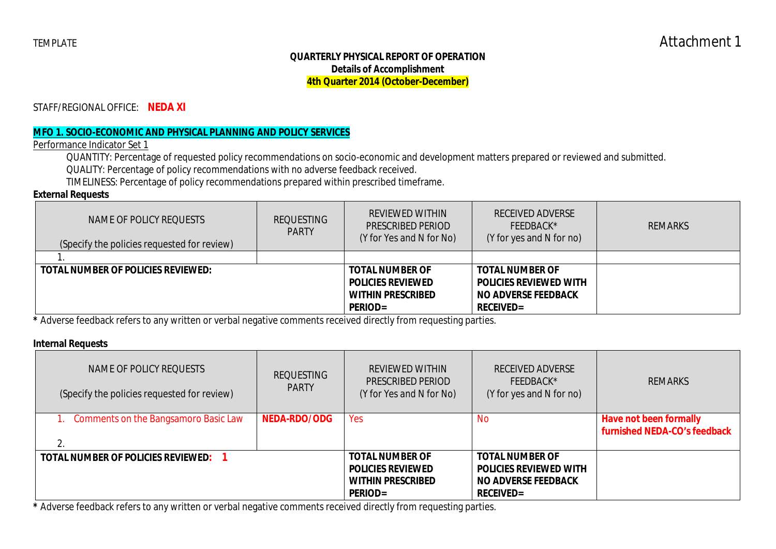### **QUARTERLY PHYSICAL REPORT OF OPERATION Details of Accomplishment 4th Quarter 2014 (October-December)**

STAFF/REGIONAL OFFICE: **NEDA XI**

### **MFO 1. SOCIO-ECONOMIC AND PHYSICAL PLANNING AND POLICY SERVICES**

Performance Indicator Set 1

QUANTITY: Percentage of requested policy recommendations on socio-economic and development matters prepared or reviewed and submitted.

QUALITY: Percentage of policy recommendations with no adverse feedback received.

TIMELINESS: Percentage of policy recommendations prepared within prescribed timeframe.

### **External Requests**

| NAME OF POLICY REQUESTS<br>(Specify the policies requested for review) | <b>REQUESTING</b><br><b>PARTY</b> | REVIEWED WITHIN<br>PRESCRIBED PERIOD<br>(Y for Yes and N for No)                                 | <b>RECEIVED ADVERSE</b><br>FEEDBACK*<br>(Y for yes and N for no)                                      | <b>REMARKS</b> |
|------------------------------------------------------------------------|-----------------------------------|--------------------------------------------------------------------------------------------------|-------------------------------------------------------------------------------------------------------|----------------|
|                                                                        |                                   |                                                                                                  |                                                                                                       |                |
| <b>TOTAL NUMBER OF POLICIES REVIEWED:</b>                              |                                   | <b>TOTAL NUMBER OF</b><br><b>POLICIES REVIEWED</b><br><b>WITHIN PRESCRIBED</b><br><b>PERIOD=</b> | <b>TOTAL NUMBER OF</b><br><b>POLICIES REVIEWED WITH</b><br><b>NO ADVERSE FEEDBACK</b><br>$RECEIVED =$ |                |

**\*** Adverse feedback refers to any written or verbal negative comments received directly from requesting parties.

### **Internal Requests**

| NAME OF POLICY REQUESTS<br>(Specify the policies requested for review) | <b>REQUESTING</b><br><b>PARTY</b> | REVIEWED WITHIN<br><b>PRESCRIBED PERIOD</b><br>(Y for Yes and N for No)                          | <b>RECEIVED ADVERSE</b><br>$FFIDBACK*$<br>(Y for yes and N for no)                                        | <b>REMARKS</b>                                         |
|------------------------------------------------------------------------|-----------------------------------|--------------------------------------------------------------------------------------------------|-----------------------------------------------------------------------------------------------------------|--------------------------------------------------------|
| 1. Comments on the Bangsamoro Basic Law                                | NEDA-RDO/ODG                      | Yes                                                                                              | No.                                                                                                       | Have not been formally<br>furnished NEDA-CO's feedback |
| TOTAL NUMBER OF POLICIES REVIEWED:                                     |                                   | <b>TOTAL NUMBER OF</b><br><b>POLICIES REVIEWED</b><br><b>WITHIN PRESCRIBED</b><br><b>PERIOD=</b> | <b>TOTAL NUMBER OF</b><br><b>POLICIES REVIEWED WITH</b><br><b>NO ADVERSE FEEDBACK</b><br><b>RECEIVED=</b> |                                                        |

**\*** Adverse feedback refers to any written or verbal negative comments received directly from requesting parties.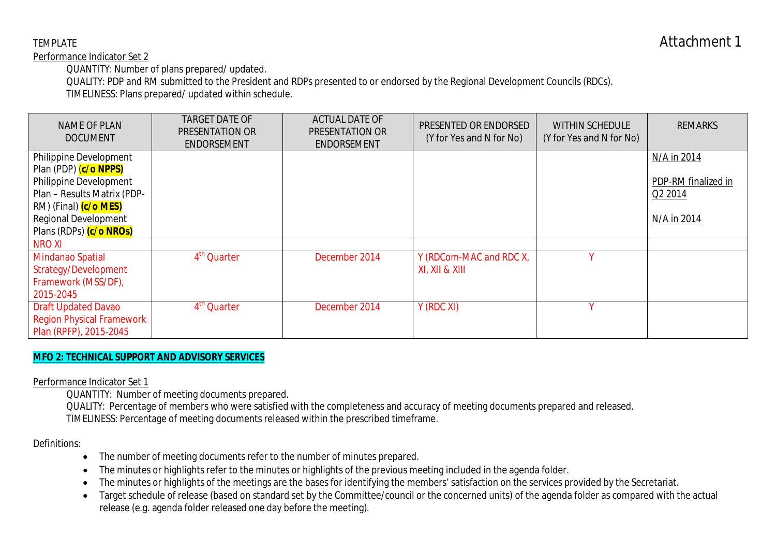Performance Indicator Set 2

QUANTITY: Number of plans prepared/ updated.

QUALITY: PDP and RM submitted to the President and RDPs presented to or endorsed by the Regional Development Councils (RDCs).

TIMELINESS: Plans prepared/ updated within schedule.

| <b>NAME OF PLAN</b><br><b>DOCUMENT</b> | <b>TARGET DATE OF</b><br>PRESENTATION OR<br><b>ENDORSEMENT</b> | <b>ACTUAL DATE OF</b><br>PRESENTATION OR<br><b>ENDORSEMENT</b> | PRESENTED OR ENDORSED<br>(Y for Yes and N for No) | <b>WITHIN SCHEDULE</b><br>(Y for Yes and N for No) | <b>REMARKS</b>      |
|----------------------------------------|----------------------------------------------------------------|----------------------------------------------------------------|---------------------------------------------------|----------------------------------------------------|---------------------|
| Philippine Development                 |                                                                |                                                                |                                                   |                                                    | N/A in 2014         |
| Plan (PDP) (c/o NPPS)                  |                                                                |                                                                |                                                   |                                                    |                     |
| Philippine Development                 |                                                                |                                                                |                                                   |                                                    | PDP-RM finalized in |
| Plan - Results Matrix (PDP-            |                                                                |                                                                |                                                   |                                                    | Q2 2014             |
| RM) (Final) (c/o MES)                  |                                                                |                                                                |                                                   |                                                    |                     |
| <b>Regional Development</b>            |                                                                |                                                                |                                                   |                                                    | N/A in 2014         |
| Plans (RDPs) (c/o NROs)                |                                                                |                                                                |                                                   |                                                    |                     |
| <b>NROXI</b>                           |                                                                |                                                                |                                                   |                                                    |                     |
| Mindanao Spatial                       | 4 <sup>th</sup> Quarter                                        | December 2014                                                  | Y (RDCom-MAC and RDC X,                           |                                                    |                     |
| Strategy/Development                   |                                                                |                                                                | XI, XII & XIII                                    |                                                    |                     |
| Framework (MSS/DF),                    |                                                                |                                                                |                                                   |                                                    |                     |
| 2015-2045                              |                                                                |                                                                |                                                   |                                                    |                     |
| <b>Draft Updated Davao</b>             | 4 <sup>th</sup> Quarter                                        | December 2014                                                  | Y (RDC XI)                                        | v                                                  |                     |
| <b>Region Physical Framework</b>       |                                                                |                                                                |                                                   |                                                    |                     |
| Plan (RPFP), 2015-2045                 |                                                                |                                                                |                                                   |                                                    |                     |

# **MFO 2: TECHNICAL SUPPORT AND ADVISORY SERVICES**

Performance Indicator Set 1

QUANTITY: Number of meeting documents prepared.

QUALITY: Percentage of members who were satisfied with the completeness and accuracy of meeting documents prepared and released. TIMELINESS: Percentage of meeting documents released within the prescribed timeframe.

### Definitions:

- The number of meeting documents refer to the number of minutes prepared.
- The minutes or highlights refer to the minutes or highlights of the previous meeting included in the agenda folder.
- The minutes or highlights of the meetings are the bases for identifying the members' satisfaction on the services provided by the Secretariat.
- Target schedule of release (based on standard set by the Committee/council or the concerned units) of the agenda folder as compared with the actual release (e.g. agenda folder released one day before the meeting).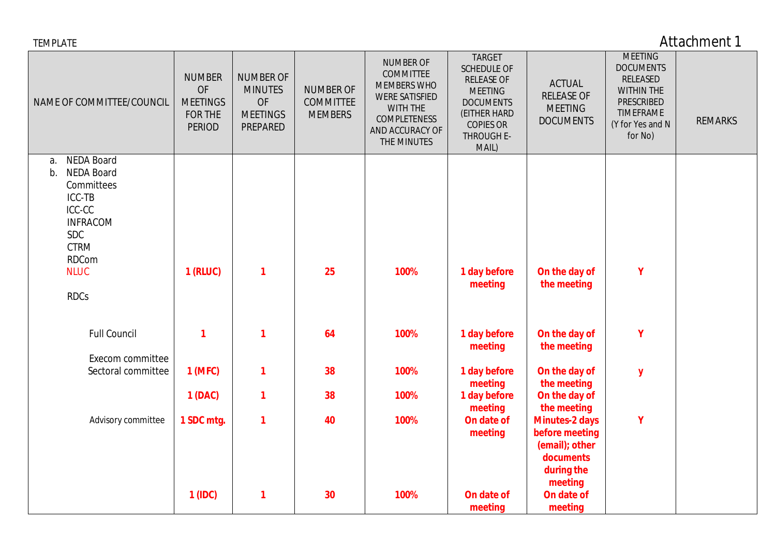| <b>TEMPLATE</b>                                                                                                                                                                    |                                                                           |                                                                                |                                                        |                                                                                                                                                   |                                                                                                                                                           |                                                                                                               |                                                                                                                               | Attachment 1   |
|------------------------------------------------------------------------------------------------------------------------------------------------------------------------------------|---------------------------------------------------------------------------|--------------------------------------------------------------------------------|--------------------------------------------------------|---------------------------------------------------------------------------------------------------------------------------------------------------|-----------------------------------------------------------------------------------------------------------------------------------------------------------|---------------------------------------------------------------------------------------------------------------|-------------------------------------------------------------------------------------------------------------------------------|----------------|
| NAME OF COMMITTEE/COUNCIL                                                                                                                                                          | <b>NUMBER</b><br>OF<br><b>MEETINGS</b><br><b>FOR THE</b><br><b>PERIOD</b> | <b>NUMBER OF</b><br><b>MINUTES</b><br><b>OF</b><br><b>MEETINGS</b><br>PREPARED | <b>NUMBER OF</b><br><b>COMMITTEE</b><br><b>MEMBERS</b> | <b>NUMBER OF</b><br><b>COMMITTEE</b><br><b>MEMBERS WHO</b><br><b>WERE SATISFIED</b><br>WITH THE<br>COMPLETENESS<br>AND ACCURACY OF<br>THE MINUTES | <b>TARGET</b><br><b>SCHEDULE OF</b><br><b>RELEASE OF</b><br><b>MEETING</b><br><b>DOCUMENTS</b><br>(EITHER HARD<br><b>COPIES OR</b><br>THROUGH E-<br>MAIL) | <b>ACTUAL</b><br><b>RELEASE OF</b><br><b>MEETING</b><br><b>DOCUMENTS</b>                                      | <b>MEETING</b><br><b>DOCUMENTS</b><br>RELEASED<br><b>WITHIN THE</b><br>PRESCRIBED<br>TIMEFRAME<br>(Y for Yes and N<br>for No) | <b>REMARKS</b> |
| <b>NEDA Board</b><br>a.<br><b>NEDA Board</b><br>b.<br>Committees<br>ICC-TB<br>ICC-CC<br><b>INFRACOM</b><br><b>SDC</b><br><b>CTRM</b><br><b>RDCom</b><br><b>NLUC</b><br><b>RDCs</b> | 1 (RLUC)                                                                  | 1                                                                              | 25                                                     | 100%                                                                                                                                              | 1 day before<br>meeting                                                                                                                                   | On the day of<br>the meeting                                                                                  | Y                                                                                                                             |                |
| <b>Full Council</b><br>Execom committee                                                                                                                                            | $\mathbf 1$                                                               | 1                                                                              | 64                                                     | 100%                                                                                                                                              | 1 day before<br>meeting                                                                                                                                   | On the day of<br>the meeting                                                                                  | Y                                                                                                                             |                |
| Sectoral committee                                                                                                                                                                 | 1 (MFC)                                                                   | 1                                                                              | 38                                                     | 100%                                                                                                                                              | 1 day before<br>meeting                                                                                                                                   | On the day of<br>the meeting                                                                                  | ${\bf y}$                                                                                                                     |                |
|                                                                                                                                                                                    | 1 (DAC)                                                                   | 1                                                                              | 38                                                     | 100%                                                                                                                                              | 1 day before<br>meeting                                                                                                                                   | On the day of<br>the meeting                                                                                  |                                                                                                                               |                |
| Advisory committee                                                                                                                                                                 | 1 SDC mtg.<br>1 (IDC)                                                     | 1<br>1                                                                         | 40<br>30                                               | 100%<br>100%                                                                                                                                      | On date of<br>meeting<br>On date of                                                                                                                       | <b>Minutes-2 days</b><br>before meeting<br>(email); other<br>documents<br>during the<br>meeting<br>On date of | Y                                                                                                                             |                |
|                                                                                                                                                                                    |                                                                           |                                                                                |                                                        |                                                                                                                                                   | meeting                                                                                                                                                   | meeting                                                                                                       |                                                                                                                               |                |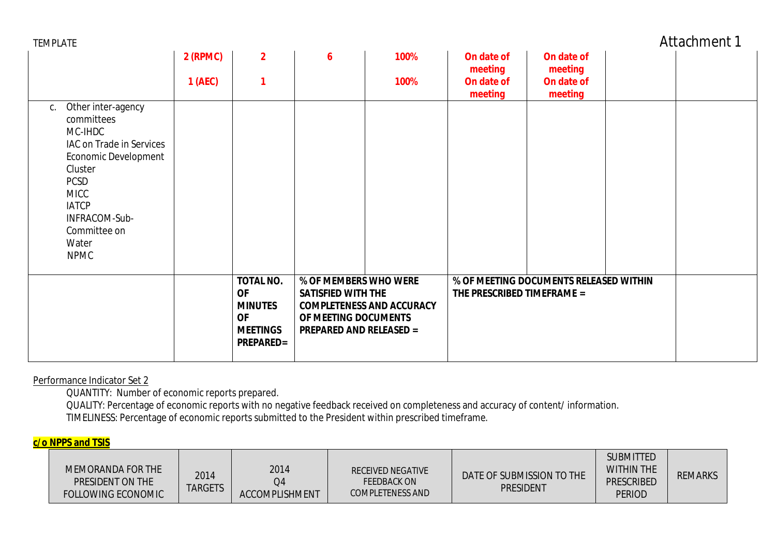| TEMPLATE |  |
|----------|--|
|----------|--|

Attachment 1

|                                                                                                                                                                                                                         | 2 (RPMC) | $\overline{2}$                                                                                      | 6                                                                                                            | 100%                             | On date of<br>meeting      | On date of<br>meeting                  |  |
|-------------------------------------------------------------------------------------------------------------------------------------------------------------------------------------------------------------------------|----------|-----------------------------------------------------------------------------------------------------|--------------------------------------------------------------------------------------------------------------|----------------------------------|----------------------------|----------------------------------------|--|
|                                                                                                                                                                                                                         | 1(AEC)   |                                                                                                     |                                                                                                              | 100%                             | On date of<br>meeting      | On date of<br>meeting                  |  |
| Other inter-agency<br>С.<br>committees<br>MC-IHDC<br>IAC on Trade in Services<br>Economic Development<br>Cluster<br><b>PCSD</b><br><b>MICC</b><br><b>IATCP</b><br>INFRACOM-Sub-<br>Committee on<br>Water<br><b>NPMC</b> |          |                                                                                                     |                                                                                                              |                                  |                            |                                        |  |
|                                                                                                                                                                                                                         |          | <b>TOTAL NO.</b><br><b>OF</b><br><b>MINUTES</b><br><b>OF</b><br><b>MEETINGS</b><br><b>PREPARED=</b> | % OF MEMBERS WHO WERE<br><b>SATISFIED WITH THE</b><br>OF MEETING DOCUMENTS<br><b>PREPARED AND RELEASED =</b> | <b>COMPLETENESS AND ACCURACY</b> | THE PRESCRIBED TIMEFRAME = | % OF MEETING DOCUMENTS RELEASED WITHIN |  |

Performance Indicator Set 2

QUANTITY: Number of economic reports prepared.

QUALITY: Percentage of economic reports with no negative feedback received on completeness and accuracy of content/ information. TIMELINESS: Percentage of economic reports submitted to the President within prescribed timeframe.

### **c/o NPPS and TSIS**

| MEMORANDA FOR THE<br>PRESIDENT ON THE<br><b>FOLLOWING ECONOMIC</b> | 2014<br><b>TARGETS</b> | 2014<br>Q4<br><b>ACCOMPLISHMENT</b> | RECEIVED NEGATIVE<br><b>FEEDBACK ON</b><br><b>COMPLETENESS AND</b> | DATE OF SUBMISSION TO THE<br><b>PRESIDENT</b> | <b>SUBMITTED</b><br><b>WITHIN THE</b><br><b>PRESCRIBED</b><br><b>PERIOD</b> | <b>REMARKS</b> |
|--------------------------------------------------------------------|------------------------|-------------------------------------|--------------------------------------------------------------------|-----------------------------------------------|-----------------------------------------------------------------------------|----------------|
|--------------------------------------------------------------------|------------------------|-------------------------------------|--------------------------------------------------------------------|-----------------------------------------------|-----------------------------------------------------------------------------|----------------|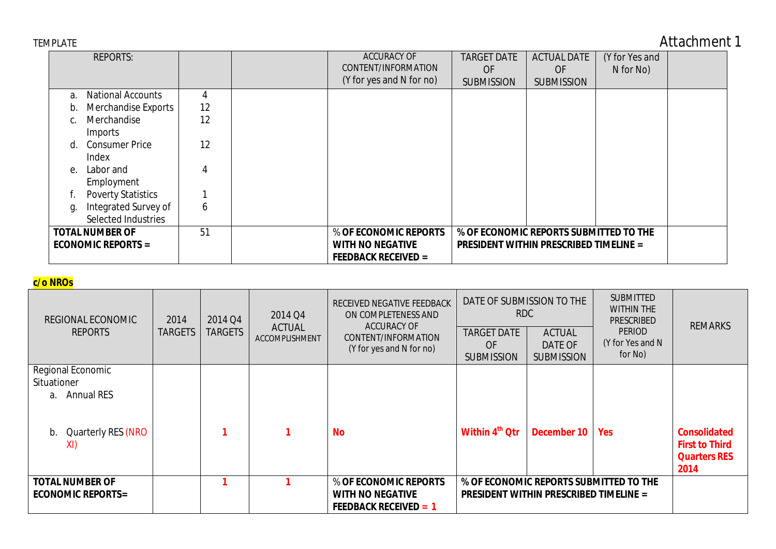| TEMPLATE |
|----------|
|----------|

# Attachment 1

|                | <b>REPORTS:</b>                                     |    | <b>ACCURACY OF</b><br>CONTENT/INFORMATION<br>(Y for yes and N for no)          | <b>TARGET DATE</b><br><b>OF</b><br><b>SUBMISSION</b>                                    | <b>ACTUAL DATE</b><br><b>OF</b><br><b>SUBMISSION</b> | (Y for Yes and<br>N for No) |  |
|----------------|-----------------------------------------------------|----|--------------------------------------------------------------------------------|-----------------------------------------------------------------------------------------|------------------------------------------------------|-----------------------------|--|
| a.             | <b>National Accounts</b>                            | 4  |                                                                                |                                                                                         |                                                      |                             |  |
| $\mathsf{D}$ . | Merchandise Exports                                 | 12 |                                                                                |                                                                                         |                                                      |                             |  |
|                | Merchandise<br>Imports                              | 12 |                                                                                |                                                                                         |                                                      |                             |  |
|                | d. Consumer Price<br>Index                          | 12 |                                                                                |                                                                                         |                                                      |                             |  |
|                | e. Labor and<br>Employment                          | 4  |                                                                                |                                                                                         |                                                      |                             |  |
|                | <b>Poverty Statistics</b>                           |    |                                                                                |                                                                                         |                                                      |                             |  |
| q.             | Integrated Survey of                                | 6  |                                                                                |                                                                                         |                                                      |                             |  |
|                | Selected Industries                                 |    |                                                                                |                                                                                         |                                                      |                             |  |
|                | <b>TOTAL NUMBER OF</b><br><b>ECONOMIC REPORTS =</b> | 51 | % OF ECONOMIC REPORTS<br><b>WITH NO NEGATIVE</b><br><b>FEEDBACK RECEIVED =</b> | % OF ECONOMIC REPORTS SUBMITTED TO THE<br><b>PRESIDENT WITHIN PRESCRIBED TIMELINE =</b> |                                                      |                             |  |

# **c/o NROs**

| REGIONAL ECONOMIC<br><b>REPORTS</b>                         | 2014<br><b>TARGETS</b> | 2014 Q4<br><b>TARGETS</b> | 2014 Q4<br><b>ACTUAL</b><br>ACCOMPLISHMENT | RECEIVED NEGATIVE FEEDBACK<br>ON COMPLETENESS AND<br><b>ACCURACY OF</b><br>CONTENT/INFORMATION<br>(Y for yes and N for no) | DATE OF SUBMISSION TO THE<br>RDC<br><b>TARGET DATE</b><br><b>OF</b><br><b>SUBMISSION</b> | <b>ACTUAL</b><br>DATE OF<br><b>SUBMISSION</b> | <b>SUBMITTED</b><br><b>WITHIN THE</b><br><b>PRESCRIBED</b><br><b>PERIOD</b><br>(Y for Yes and N<br>for No) | <b>REMARKS</b>                                                              |
|-------------------------------------------------------------|------------------------|---------------------------|--------------------------------------------|----------------------------------------------------------------------------------------------------------------------------|------------------------------------------------------------------------------------------|-----------------------------------------------|------------------------------------------------------------------------------------------------------------|-----------------------------------------------------------------------------|
| Regional Economic<br>Situationer<br><b>Annual RES</b><br>а. |                        |                           |                                            |                                                                                                                            |                                                                                          |                                               |                                                                                                            |                                                                             |
| Quarterly RES (NRO<br>b.<br>XI)                             |                        |                           |                                            | <b>No</b>                                                                                                                  | Within 4 <sup>th</sup> Qtr                                                               | December 10                                   | <b>Yes</b>                                                                                                 | <b>Consolidated</b><br><b>First to Third</b><br><b>Quarters RES</b><br>2014 |
| <b>TOTAL NUMBER OF</b><br><b>ECONOMIC REPORTS=</b>          |                        |                           |                                            | % OF ECONOMIC REPORTS<br><b>WITH NO NEGATIVE</b><br><b>FEEDBACK RECEIVED = 1</b>                                           | <b>PRESIDENT WITHIN PRESCRIBED TIMELINE =</b>                                            |                                               | % OF ECONOMIC REPORTS SUBMITTED TO THE                                                                     |                                                                             |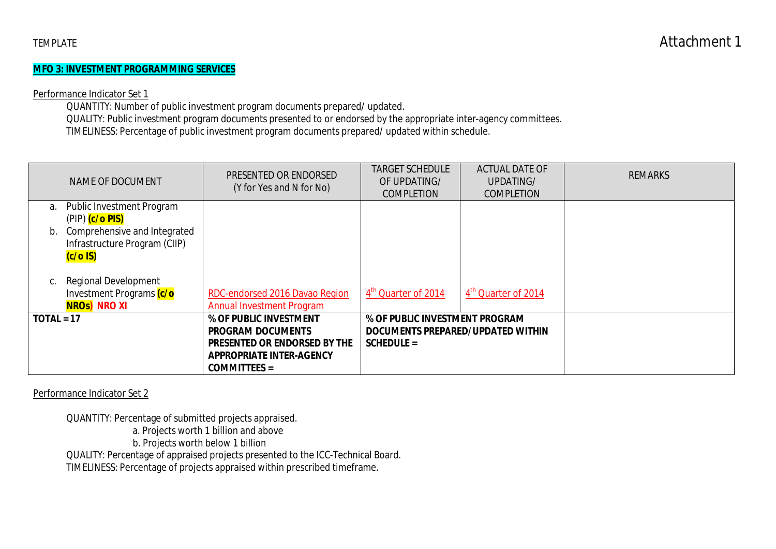### **MFO 3: INVESTMENT PROGRAMMING SERVICES**

### Performance Indicator Set 1

QUANTITY: Number of public investment program documents prepared/ updated. QUALITY: Public investment program documents presented to or endorsed by the appropriate inter-agency committees.

TIMELINESS: Percentage of public investment program documents prepared/ updated within schedule.

|              | NAME OF DOCUMENT                            | PRESENTED OR ENDORSED<br>(Y for Yes and N for No) | <b>TARGET SCHEDULE</b><br>OF UPDATING/<br><b>COMPLETION</b> | <b>ACTUAL DATE OF</b><br>UPDATING/<br><b>COMPLETION</b> | <b>REMARKS</b> |
|--------------|---------------------------------------------|---------------------------------------------------|-------------------------------------------------------------|---------------------------------------------------------|----------------|
| a.           | <b>Public Investment Program</b>            |                                                   |                                                             |                                                         |                |
|              | (PIP) (c/o PIS)                             |                                                   |                                                             |                                                         |                |
| b.           | Comprehensive and Integrated                |                                                   |                                                             |                                                         |                |
|              | Infrastructure Program (CIIP)<br>$(c/o$ IS) |                                                   |                                                             |                                                         |                |
|              |                                             |                                                   |                                                             |                                                         |                |
| C.           | <b>Regional Development</b>                 |                                                   |                                                             |                                                         |                |
|              | Investment Programs (c/o                    | RDC-endorsed 2016 Davao Region                    | 4 <sup>th</sup> Quarter of 2014                             | 4 <sup>th</sup> Quarter of 2014                         |                |
|              | NROs) NRO XI                                | <b>Annual Investment Program</b>                  |                                                             |                                                         |                |
| $TOTAL = 17$ |                                             | % OF PUBLIC INVESTMENT                            | % OF PUBLIC INVESTMENT PROGRAM                              |                                                         |                |
|              |                                             | <b>PROGRAM DOCUMENTS</b>                          | DOCUMENTS PREPARED/UPDATED WITHIN                           |                                                         |                |
|              |                                             | PRESENTED OR ENDORSED BY THE                      | $SCHEDULE =$                                                |                                                         |                |
|              |                                             | <b>APPROPRIATE INTER-AGENCY</b>                   |                                                             |                                                         |                |
|              |                                             | <b>COMMITTEES =</b>                               |                                                             |                                                         |                |

Performance Indicator Set 2

QUANTITY: Percentage of submitted projects appraised.

a. Projects worth 1 billion and above

b. Projects worth below 1 billion

QUALITY: Percentage of appraised projects presented to the ICC-Technical Board.

TIMELINESS: Percentage of projects appraised within prescribed timeframe.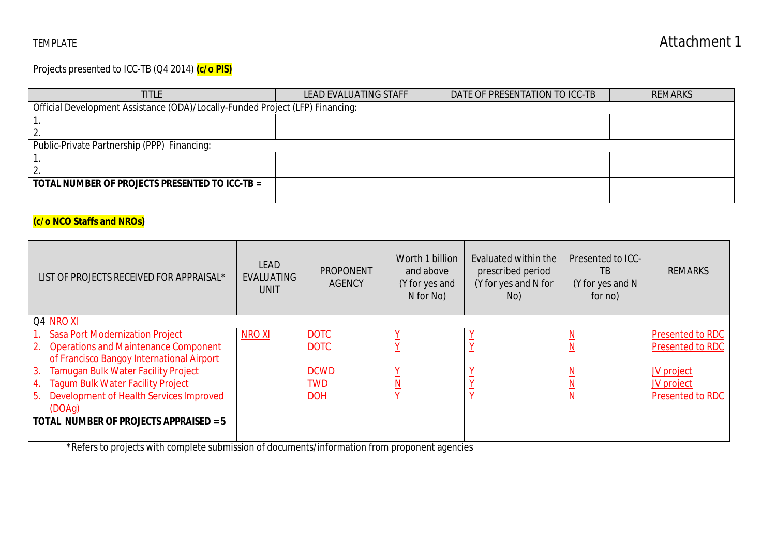Projects presented to ICC-TB (Q4 2014) **(c/o PIS)**

| <b>TITLE</b>                                                                  | LEAD EVALUATING STAFF | DATE OF PRESENTATION TO ICC-TB | <b>REMARKS</b> |  |  |  |  |  |  |
|-------------------------------------------------------------------------------|-----------------------|--------------------------------|----------------|--|--|--|--|--|--|
| Official Development Assistance (ODA)/Locally-Funded Project (LFP) Financing: |                       |                                |                |  |  |  |  |  |  |
|                                                                               |                       |                                |                |  |  |  |  |  |  |
|                                                                               |                       |                                |                |  |  |  |  |  |  |
| Public-Private Partnership (PPP) Financing:                                   |                       |                                |                |  |  |  |  |  |  |
|                                                                               |                       |                                |                |  |  |  |  |  |  |
|                                                                               |                       |                                |                |  |  |  |  |  |  |
| TOTAL NUMBER OF PROJECTS PRESENTED TO ICC-TB =                                |                       |                                |                |  |  |  |  |  |  |
|                                                                               |                       |                                |                |  |  |  |  |  |  |

# **(c/o NCO Staffs and NROs)**

| LIST OF PROJECTS RECEIVED FOR APPRAISAL*         | <b>LEAD</b><br><b>EVALUATING</b><br><b>UNIT</b> | <b>PROPONENT</b><br><b>AGENCY</b> | Worth 1 billion<br>and above<br>(Y for yes and<br>N for No) | Evaluated within the<br>prescribed period<br>(Y for yes and N for<br>No) | <b>Presented to ICC-</b><br>ТB<br>(Y for yes and N<br>for no) | <b>REMARKS</b>          |
|--------------------------------------------------|-------------------------------------------------|-----------------------------------|-------------------------------------------------------------|--------------------------------------------------------------------------|---------------------------------------------------------------|-------------------------|
| Q4 NRO XI                                        |                                                 |                                   |                                                             |                                                                          |                                                               |                         |
| <b>Sasa Port Modernization Project</b>           | <b>NROXI</b>                                    | <b>DOTC</b>                       |                                                             |                                                                          |                                                               | Presented to RDC        |
| 2. Operations and Maintenance Component          |                                                 | <b>DOTC</b>                       |                                                             |                                                                          | - I V                                                         | Presented to RDC        |
| of Francisco Bangoy International Airport        |                                                 |                                   |                                                             |                                                                          |                                                               |                         |
| <b>Tamugan Bulk Water Facility Project</b><br>3. |                                                 | <b>DCWD</b>                       |                                                             |                                                                          |                                                               | JV project              |
| <b>Tagum Bulk Water Facility Project</b><br>4.   |                                                 | <b>TWD</b>                        |                                                             |                                                                          |                                                               | <b>JV</b> project       |
| Development of Health Services Improved<br>5.    |                                                 | <b>DOH</b>                        |                                                             |                                                                          |                                                               | <b>Presented to RDC</b> |
| (DOAg)                                           |                                                 |                                   |                                                             |                                                                          |                                                               |                         |
| TOTAL NUMBER OF PROJECTS APPRAISED = 5           |                                                 |                                   |                                                             |                                                                          |                                                               |                         |
|                                                  |                                                 |                                   |                                                             |                                                                          |                                                               |                         |

\*Refers to projects with complete submission of documents/information from proponent agencies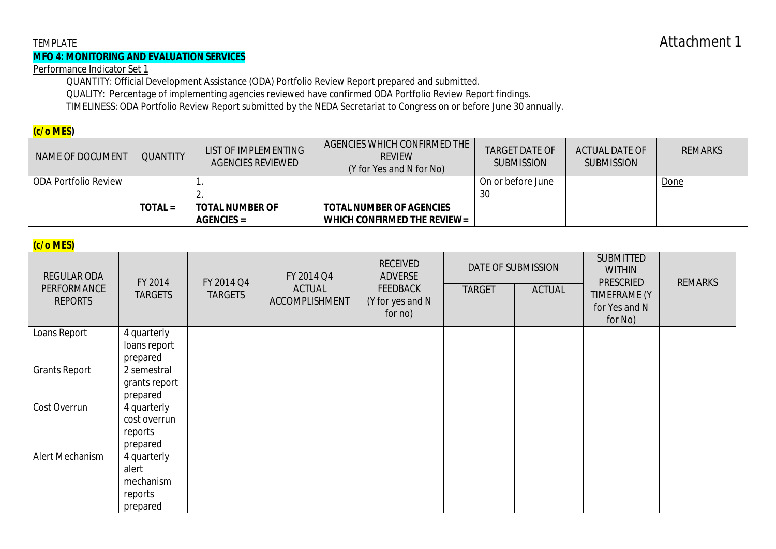### **MFO 4: MONITORING AND EVALUATION SERVICES**

Performance Indicator Set 1

QUANTITY: Official Development Assistance (ODA) Portfolio Review Report prepared and submitted.

QUALITY: Percentage of implementing agencies reviewed have confirmed ODA Portfolio Review Report findings.

TIMELINESS: ODA Portfolio Review Report submitted by the NEDA Secretariat to Congress on or before June 30 annually.

### **(c/o MES)**

| NAME OF DOCUMENT            | <b>QUANTITY</b> | LIST OF IMPLEMENTING<br>AGENCIES REVIEWED | AGENCIES WHICH CONFIRMED THE<br><b>REVIEW</b><br>(Y for Yes and N for No) | <b>TARGET DATE OF</b><br><b>SUBMISSION</b> | <b>ACTUAL DATE OF</b><br><b>SUBMISSION</b> | <b>REMARKS</b> |
|-----------------------------|-----------------|-------------------------------------------|---------------------------------------------------------------------------|--------------------------------------------|--------------------------------------------|----------------|
| <b>ODA Portfolio Review</b> |                 | . .                                       |                                                                           | On or before June                          |                                            | Done           |
|                             |                 |                                           |                                                                           | 30                                         |                                            |                |
|                             | $TOTAL =$       | <b>TOTAL NUMBER OF</b>                    | <b>TOTAL NUMBER OF AGENCIES</b>                                           |                                            |                                            |                |
|                             |                 | $AGENCIES =$                              | WHICH CONFIRMED THE REVIEW=                                               |                                            |                                            |                |

## **(c/o MES)**

| $\sqrt{2}$<br><b>REGULAR ODA</b><br>PERFORMANCE<br><b>REPORTS</b> | FY 2014<br><b>TARGETS</b>   | FY 2014 Q4<br><b>TARGETS</b> | FY 2014 Q4<br><b>ACTUAL</b><br>ACCOMPLISHMENT | <b>RECEIVED</b><br><b>ADVERSE</b><br><b>FEEDBACK</b><br>(Y for yes and N<br>for no) | <b>TARGET</b> | DATE OF SUBMISSION<br><b>ACTUAL</b> | <b>SUBMITTED</b><br><b>WITHIN</b><br><b>PRESCRIED</b><br>TIMEFRAME (Y<br>for Yes and N<br>for No) | <b>REMARKS</b> |
|-------------------------------------------------------------------|-----------------------------|------------------------------|-----------------------------------------------|-------------------------------------------------------------------------------------|---------------|-------------------------------------|---------------------------------------------------------------------------------------------------|----------------|
| Loans Report                                                      | 4 quarterly<br>loans report |                              |                                               |                                                                                     |               |                                     |                                                                                                   |                |
|                                                                   | prepared                    |                              |                                               |                                                                                     |               |                                     |                                                                                                   |                |
| <b>Grants Report</b>                                              | 2 semestral                 |                              |                                               |                                                                                     |               |                                     |                                                                                                   |                |
|                                                                   | grants report<br>prepared   |                              |                                               |                                                                                     |               |                                     |                                                                                                   |                |
| Cost Overrun                                                      | 4 quarterly                 |                              |                                               |                                                                                     |               |                                     |                                                                                                   |                |
|                                                                   | cost overrun                |                              |                                               |                                                                                     |               |                                     |                                                                                                   |                |
|                                                                   | reports                     |                              |                                               |                                                                                     |               |                                     |                                                                                                   |                |
|                                                                   | prepared                    |                              |                                               |                                                                                     |               |                                     |                                                                                                   |                |
| Alert Mechanism                                                   | 4 quarterly                 |                              |                                               |                                                                                     |               |                                     |                                                                                                   |                |
|                                                                   | alert                       |                              |                                               |                                                                                     |               |                                     |                                                                                                   |                |
|                                                                   | mechanism                   |                              |                                               |                                                                                     |               |                                     |                                                                                                   |                |
|                                                                   | reports                     |                              |                                               |                                                                                     |               |                                     |                                                                                                   |                |
|                                                                   | prepared                    |                              |                                               |                                                                                     |               |                                     |                                                                                                   |                |

# TEMPLATE **Attachment 1**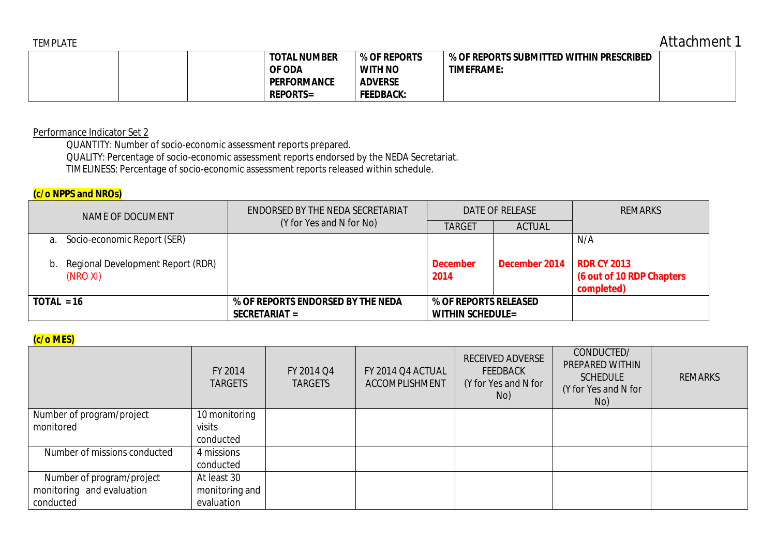TEMPLATE Attachment 1

|  | <b>TOTAL NUMBER</b><br>OF ODA | % OF REPORTS<br><b>WITH NO</b> | % OF REPORTS SUBMITTED WITHIN PRESCRIBED<br><b>TIMEFRAME:</b> |  |
|--|-------------------------------|--------------------------------|---------------------------------------------------------------|--|
|  | <b>PERFORMANCE</b>            | <b>ADVERSE</b>                 |                                                               |  |
|  | <b>REPORTS=</b>               | <b>FEEDBACK:</b>               |                                                               |  |

Performance Indicator Set 2

QUANTITY: Number of socio-economic assessment reports prepared.

QUALITY: Percentage of socio-economic assessment reports endorsed by the NEDA Secretariat.

TIMELINESS: Percentage of socio-economic assessment reports released within schedule.

### **(c/o NPPS and NROs)**

| NAME OF DOCUMENT                                 | ENDORSED BY THE NEDA SECRETARIAT  |                         | DATE OF RELEASE | <b>REMARKS</b>                                                |
|--------------------------------------------------|-----------------------------------|-------------------------|-----------------|---------------------------------------------------------------|
|                                                  | (Y for Yes and N for No)          | <b>TARGET</b>           | <b>ACTUAL</b>   |                                                               |
| a. Socio-economic Report (SER)                   |                                   |                         |                 | N/A                                                           |
| b. Regional Development Report (RDR)<br>(NRO XI) |                                   | <b>December</b><br>2014 | December 2014   | <b>RDR CY 2013</b><br>(6 out of 10 RDP Chapters<br>completed) |
| $TOIAL = 16$                                     | % OF REPORTS ENDORSED BY THE NEDA | % OF REPORTS RELEASED   |                 |                                                               |
|                                                  | SECRETARIAT =                     | <b>WITHIN SCHEDULE=</b> |                 |                                                               |

# **(c/o MES)**

| $\mathbf{v}$ $\mathbf{v}$ $\mathbf{v}$ $\mathbf{v}$ |                           |                              |                                     |                                                                           |                                                                                 |                |
|-----------------------------------------------------|---------------------------|------------------------------|-------------------------------------|---------------------------------------------------------------------------|---------------------------------------------------------------------------------|----------------|
|                                                     | FY 2014<br><b>TARGETS</b> | FY 2014 Q4<br><b>TARGETS</b> | FY 2014 Q4 ACTUAL<br>ACCOMPLISHMENT | <b>RECEIVED ADVERSE</b><br><b>FEEDBACK</b><br>(Y for Yes and N for<br>No) | CONDUCTED/<br>PREPARED WITHIN<br><b>SCHEDULE</b><br>(Y for Yes and N for<br>No) | <b>REMARKS</b> |
| Number of program/project                           | 10 monitoring             |                              |                                     |                                                                           |                                                                                 |                |
| monitored                                           | visits                    |                              |                                     |                                                                           |                                                                                 |                |
|                                                     | conducted                 |                              |                                     |                                                                           |                                                                                 |                |
| Number of missions conducted                        | 4 missions                |                              |                                     |                                                                           |                                                                                 |                |
|                                                     | conducted                 |                              |                                     |                                                                           |                                                                                 |                |
| Number of program/project                           | At least 30               |                              |                                     |                                                                           |                                                                                 |                |
| monitoring and evaluation                           | monitoring and            |                              |                                     |                                                                           |                                                                                 |                |
| conducted                                           | evaluation                |                              |                                     |                                                                           |                                                                                 |                |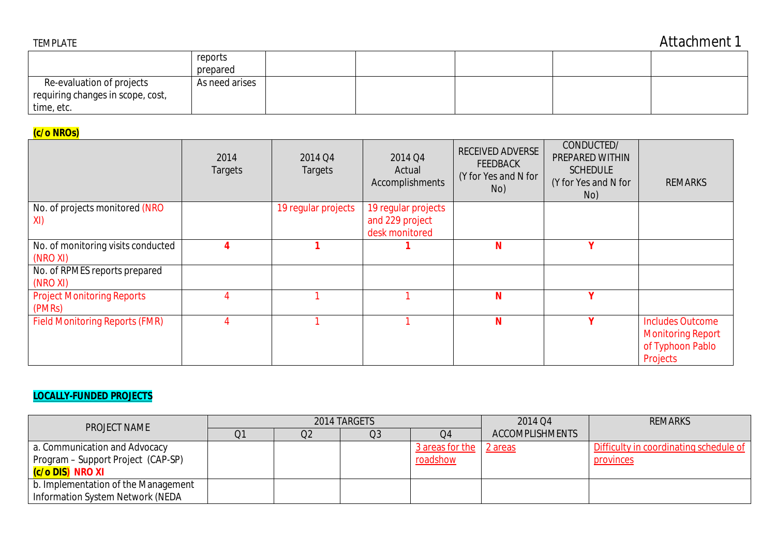|                                   | reports        |  |  |  |
|-----------------------------------|----------------|--|--|--|
|                                   | prepared       |  |  |  |
| Re-evaluation of projects         | As need arises |  |  |  |
| requiring changes in scope, cost, |                |  |  |  |
| time, etc.                        |                |  |  |  |

# **(c/o NROs)**

|                                             | 2014<br><b>Targets</b> | 2014 Q4<br><b>Targets</b> | 2014 Q4<br>Actual<br>Accomplishments | <b>RECEIVED ADVERSE</b><br><b>FEEDBACK</b><br>(Y for Yes and N for<br>No) | CONDUCTED/<br>PREPARED WITHIN<br><b>SCHEDULE</b><br>(Y for Yes and N for<br>No) | <b>REMARKS</b>                                                                      |
|---------------------------------------------|------------------------|---------------------------|--------------------------------------|---------------------------------------------------------------------------|---------------------------------------------------------------------------------|-------------------------------------------------------------------------------------|
| No. of projects monitored (NRO              |                        | 19 regular projects       | 19 regular projects                  |                                                                           |                                                                                 |                                                                                     |
| XI)                                         |                        |                           | and 229 project<br>desk monitored    |                                                                           |                                                                                 |                                                                                     |
| No. of monitoring visits conducted          |                        |                           |                                      | N                                                                         | v                                                                               |                                                                                     |
| (NRO XI)                                    |                        |                           |                                      |                                                                           |                                                                                 |                                                                                     |
| No. of RPMES reports prepared               |                        |                           |                                      |                                                                           |                                                                                 |                                                                                     |
| (NRO XI)                                    |                        |                           |                                      |                                                                           |                                                                                 |                                                                                     |
| <b>Project Monitoring Reports</b><br>(PMRs) |                        |                           |                                      | N                                                                         | v                                                                               |                                                                                     |
| <b>Field Monitoring Reports (FMR)</b>       |                        |                           |                                      | N                                                                         | v                                                                               | <b>Includes Outcome</b><br><b>Monitoring Report</b><br>of Typhoon Pablo<br>Projects |

# **LOCALLY-FUNDED PROJECTS**

| PROJECT NAME                        |                | 2014 TARGETS   |                 | 2014 Q4                | <b>REMARKS</b>                         |
|-------------------------------------|----------------|----------------|-----------------|------------------------|----------------------------------------|
|                                     | Q <sub>2</sub> | Q <sub>3</sub> | O4              | <b>ACCOMPLISHMENTS</b> |                                        |
| a. Communication and Advocacy       |                |                | 3 areas for the | 2 areas                | Difficulty in coordinating schedule of |
| Program - Support Project (CAP-SP)  |                |                | roadshow        |                        | provinces                              |
| (c/o DIS) NRO XI                    |                |                |                 |                        |                                        |
| b. Implementation of the Management |                |                |                 |                        |                                        |
| Information System Network (NEDA    |                |                |                 |                        |                                        |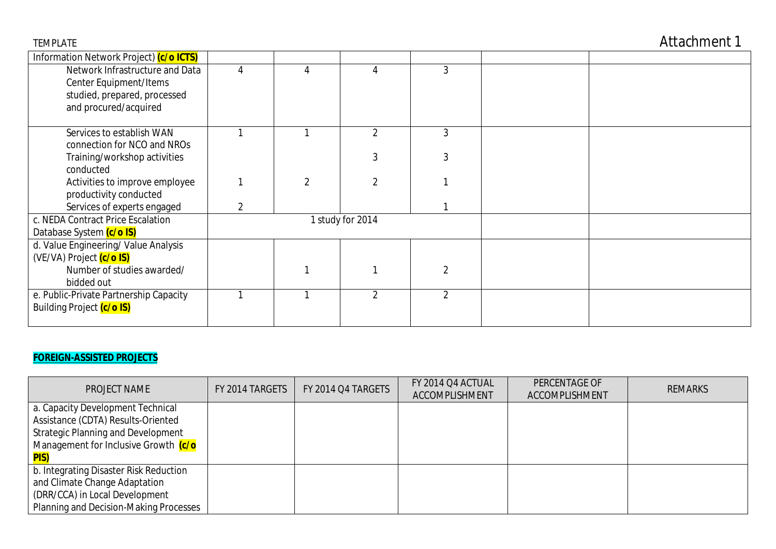| Information Network Project) (c/o ICTS)   |   |                |                  |                |  |
|-------------------------------------------|---|----------------|------------------|----------------|--|
| Network Infrastructure and Data           | 4 |                |                  | 3              |  |
| Center Equipment/Items                    |   |                |                  |                |  |
| studied, prepared, processed              |   |                |                  |                |  |
| and procured/acquired                     |   |                |                  |                |  |
|                                           |   |                |                  |                |  |
| Services to establish WAN                 |   |                | $\mathfrak{p}$   | 3              |  |
| connection for NCO and NROs               |   |                |                  |                |  |
| Training/workshop activities<br>conducted |   |                |                  |                |  |
| Activities to improve employee            |   | $\overline{2}$ |                  |                |  |
| productivity conducted                    |   |                |                  |                |  |
| Services of experts engaged               | 2 |                |                  |                |  |
| c. NEDA Contract Price Escalation         |   |                | 1 study for 2014 |                |  |
| Database System (c/o IS)                  |   |                |                  |                |  |
| d. Value Engineering/ Value Analysis      |   |                |                  |                |  |
| (VE/VA) Project (c/o IS)                  |   |                |                  |                |  |
| Number of studies awarded/                |   |                |                  | 2              |  |
| bidded out                                |   |                |                  |                |  |
| e. Public-Private Partnership Capacity    |   |                | $\mathfrak{p}$   | $\mathfrak{D}$ |  |
| Building Project (c/o IS)                 |   |                |                  |                |  |
|                                           |   |                |                  |                |  |

# **FOREIGN-ASSISTED PROJECTS**

| PROJECT NAME                              | FY 2014 TARGETS | FY 2014 Q4 TARGETS | FY 2014 Q4 ACTUAL<br>ACCOMPLISHMENT | PERCENTAGE OF<br>ACCOMPLISHMENT | <b>REMARKS</b> |
|-------------------------------------------|-----------------|--------------------|-------------------------------------|---------------------------------|----------------|
| a. Capacity Development Technical         |                 |                    |                                     |                                 |                |
| Assistance (CDTA) Results-Oriented        |                 |                    |                                     |                                 |                |
| <b>Strategic Planning and Development</b> |                 |                    |                                     |                                 |                |
| Management for Inclusive Growth (c/o      |                 |                    |                                     |                                 |                |
| <b>PIS)</b>                               |                 |                    |                                     |                                 |                |
| b. Integrating Disaster Risk Reduction    |                 |                    |                                     |                                 |                |
| and Climate Change Adaptation             |                 |                    |                                     |                                 |                |
| (DRR/CCA) in Local Development            |                 |                    |                                     |                                 |                |
| Planning and Decision-Making Processes    |                 |                    |                                     |                                 |                |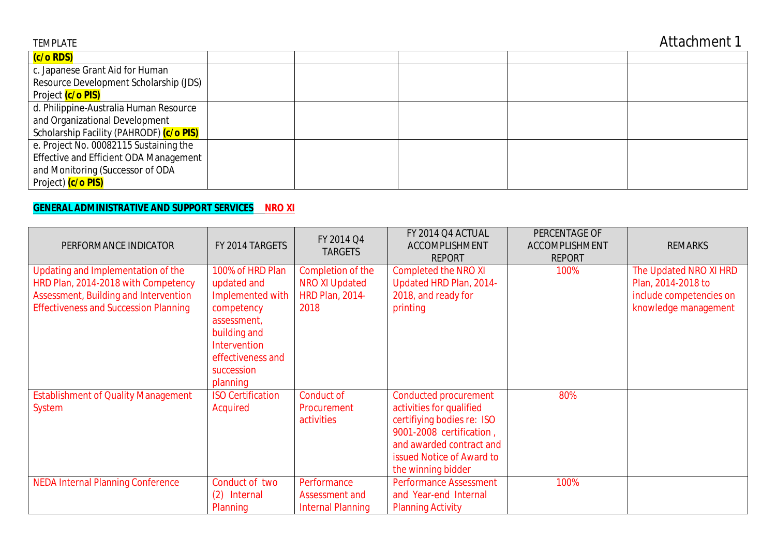| <b>TEMPLATE</b>                          |  |  | Attachment 1 |
|------------------------------------------|--|--|--------------|
| (c/o RDS)                                |  |  |              |
| c. Japanese Grant Aid for Human          |  |  |              |
| Resource Development Scholarship (JDS)   |  |  |              |
| Project (c/o PIS)                        |  |  |              |
| d. Philippine-Australia Human Resource   |  |  |              |
| and Organizational Development           |  |  |              |
| Scholarship Facility (PAHRODF) (c/o PIS) |  |  |              |
| e. Project No. 00082115 Sustaining the   |  |  |              |
| Effective and Efficient ODA Management   |  |  |              |
| and Monitoring (Successor of ODA         |  |  |              |
| Project) (c/o PIS)                       |  |  |              |

# **GENERAL ADMINISTRATIVE AND SUPPORT SERVICES NRO XI**

| PERFORMANCE INDICATOR                                                                                                                                              | FY 2014 TARGETS                                                                                                                                                        | FY 2014 Q4<br><b>TARGETS</b>                                                 | FY 2014 Q4 ACTUAL<br>ACCOMPLISHMENT<br><b>REPORT</b>                                                                                                                                              | PERCENTAGE OF<br>ACCOMPLISHMENT<br><b>REPORT</b> | <b>REMARKS</b>                                                                                  |
|--------------------------------------------------------------------------------------------------------------------------------------------------------------------|------------------------------------------------------------------------------------------------------------------------------------------------------------------------|------------------------------------------------------------------------------|---------------------------------------------------------------------------------------------------------------------------------------------------------------------------------------------------|--------------------------------------------------|-------------------------------------------------------------------------------------------------|
| Updating and Implementation of the<br>HRD Plan, 2014-2018 with Competency<br>Assessment, Building and Intervention<br><b>Effectiveness and Succession Planning</b> | 100% of HRD Plan<br>updated and<br>Implemented with<br>competency<br>assessment,<br>building and<br><b>Intervention</b><br>effectiveness and<br>succession<br>planning | Completion of the<br><b>NRO XI Updated</b><br><b>HRD Plan, 2014-</b><br>2018 | <b>Completed the NRO XI</b><br>Updated HRD Plan, 2014-<br>2018, and ready for<br>printing                                                                                                         | 100%                                             | The Updated NRO XI HRD<br>Plan, 2014-2018 to<br>include competencies on<br>knowledge management |
| <b>Establishment of Quality Management</b><br><b>System</b>                                                                                                        | <b>ISO Certification</b><br>Acquired                                                                                                                                   | Conduct of<br>Procurement<br>activities                                      | <b>Conducted procurement</b><br>activities for qualified<br>certifiying bodies re: ISO<br>9001-2008 certification,<br>and awarded contract and<br>issued Notice of Award to<br>the winning bidder | 80%                                              |                                                                                                 |
| <b>NEDA Internal Planning Conference</b>                                                                                                                           | Conduct of two<br>(2) Internal<br>Planning                                                                                                                             | Performance<br>Assessment and<br><b>Internal Planning</b>                    | <b>Performance Assessment</b><br>and Year-end Internal<br><b>Planning Activity</b>                                                                                                                | 100%                                             |                                                                                                 |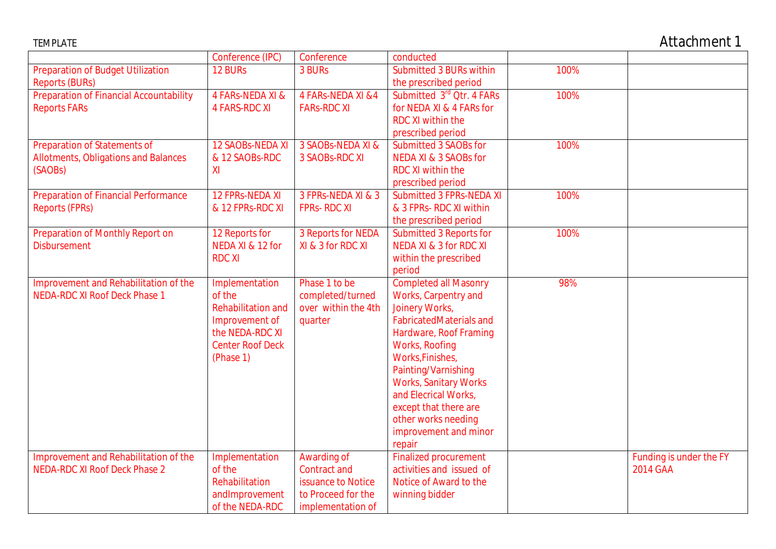| <b>TEMPLATE</b>                                                               |                           |                                    |                                                          |      | <b>Attachment 1</b>                 |
|-------------------------------------------------------------------------------|---------------------------|------------------------------------|----------------------------------------------------------|------|-------------------------------------|
|                                                                               | Conference (IPC)          | Conference                         | conducted                                                |      |                                     |
| <b>Preparation of Budget Utilization</b>                                      | 12 BURs                   | 3 BURs                             | <b>Submitted 3 BURs within</b>                           | 100% |                                     |
| <b>Reports (BURs)</b>                                                         |                           |                                    | the prescribed period                                    |      |                                     |
| <b>Preparation of Financial Accountability</b>                                | 4 FARS-NEDA XI &          | 4 FARS-NEDA XI & 4                 | Submitted 3rd Otr. 4 FARs                                | 100% |                                     |
| <b>Reports FARs</b>                                                           | <b>4 FARS-RDC XI</b>      | <b>FARS-RDC XI</b>                 | for NEDA XI & 4 FARs for                                 |      |                                     |
|                                                                               |                           |                                    | RDC XI within the                                        |      |                                     |
|                                                                               |                           |                                    | prescribed period                                        |      |                                     |
| <b>Preparation of Statements of</b>                                           | <b>12 SAOBS-NEDA XI</b>   | 3 SAOBS-NEDA XI &                  | Submitted 3 SAOBs for                                    | 100% |                                     |
| <b>Allotments, Obligations and Balances</b>                                   | & 12 SAOBs-RDC            | 3 SAOBS-RDC XI                     | NEDA XI & 3 SAOBs for                                    |      |                                     |
| (SAOBs)                                                                       | XI                        |                                    | <b>RDC XI within the</b>                                 |      |                                     |
|                                                                               |                           |                                    | prescribed period                                        |      |                                     |
| <b>Preparation of Financial Performance</b>                                   | <b>12 FPRS-NEDA XI</b>    | 3 FPRs-NEDA XI & 3                 | Submitted 3 FPRs-NEDA XI                                 | 100% |                                     |
| <b>Reports (FPRs)</b>                                                         | & 12 FPRs-RDC XI          | <b>FPRS-RDCXI</b>                  | & 3 FPRs- RDC XI within                                  |      |                                     |
|                                                                               |                           |                                    | the prescribed period                                    |      |                                     |
| Preparation of Monthly Report on                                              | 12 Reports for            | 3 Reports for NEDA                 | Submitted 3 Reports for                                  | 100% |                                     |
| <b>Disbursement</b>                                                           | NEDA XI & 12 for          | XI & 3 for RDC XI                  | <b>NEDA XI &amp; 3 for RDC XI</b>                        |      |                                     |
|                                                                               | <b>RDC XI</b>             |                                    | within the prescribed                                    |      |                                     |
|                                                                               |                           |                                    | period                                                   |      |                                     |
| Improvement and Rehabilitation of the                                         | Implementation            | Phase 1 to be                      | <b>Completed all Masonry</b>                             | 98%  |                                     |
| <b>NEDA-RDC XI Roof Deck Phase 1</b>                                          | of the                    | completed/turned                   | Works, Carpentry and                                     |      |                                     |
|                                                                               | <b>Rehabilitation and</b> | over within the 4th                | Joinery Works,                                           |      |                                     |
|                                                                               | Improvement of            | quarter                            | <b>FabricatedMaterials and</b>                           |      |                                     |
|                                                                               | the NEDA-RDC XI           |                                    | Hardware, Roof Framing                                   |      |                                     |
|                                                                               | <b>Center Roof Deck</b>   |                                    | Works, Roofing                                           |      |                                     |
|                                                                               | (Phase 1)                 |                                    | Works, Finishes,                                         |      |                                     |
|                                                                               |                           |                                    | Painting/Varnishing                                      |      |                                     |
|                                                                               |                           |                                    | <b>Works, Sanitary Works</b>                             |      |                                     |
|                                                                               |                           |                                    | and Elecrical Works,                                     |      |                                     |
|                                                                               |                           |                                    | except that there are                                    |      |                                     |
|                                                                               |                           |                                    | other works needing                                      |      |                                     |
|                                                                               |                           |                                    | improvement and minor                                    |      |                                     |
|                                                                               |                           |                                    | repair                                                   |      |                                     |
| Improvement and Rehabilitation of the<br><b>NEDA-RDC XI Roof Deck Phase 2</b> | Implementation<br>of the  | Awarding of<br><b>Contract and</b> | <b>Finalized procurement</b><br>activities and issued of |      | Funding is under the FY<br>2014 GAA |
|                                                                               | Rehabilitation            | issuance to Notice                 | Notice of Award to the                                   |      |                                     |
|                                                                               |                           |                                    |                                                          |      |                                     |
|                                                                               | andImprovement            | to Proceed for the                 | winning bidder                                           |      |                                     |
|                                                                               | of the NEDA-RDC           | implementation of                  |                                                          |      |                                     |